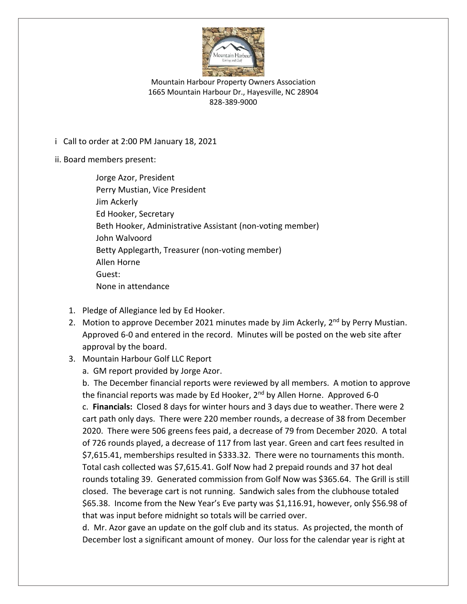

Mountain Harbour Property Owners Association 1665 Mountain Harbour Dr., Hayesville, NC 28904 828-389-9000

i Call to order at 2:00 PM January 18, 2021

ii. Board members present:

Jorge Azor, President Perry Mustian, Vice President Jim Ackerly Ed Hooker, Secretary Beth Hooker, Administrative Assistant (non-voting member) John Walvoord Betty Applegarth, Treasurer (non-voting member) Allen Horne Guest: None in attendance

- 1. Pledge of Allegiance led by Ed Hooker.
- 2. Motion to approve December 2021 minutes made by Jim Ackerly, 2<sup>nd</sup> by Perry Mustian. Approved 6-0 and entered in the record. Minutes will be posted on the web site after approval by the board.
- 3. Mountain Harbour Golf LLC Report
	- a. GM report provided by Jorge Azor.

b. The December financial reports were reviewed by all members. A motion to approve the financial reports was made by Ed Hooker, 2<sup>nd</sup> by Allen Horne. Approved 6-0 c. **Financials:** Closed 8 days for winter hours and 3 days due to weather. There were 2 cart path only days. There were 220 member rounds, a decrease of 38 from December 2020. There were 506 greens fees paid, a decrease of 79 from December 2020. A total of 726 rounds played, a decrease of 117 from last year. Green and cart fees resulted in \$7,615.41, memberships resulted in \$333.32. There were no tournaments this month. Total cash collected was \$7,615.41. Golf Now had 2 prepaid rounds and 37 hot deal rounds totaling 39. Generated commission from Golf Now was \$365.64. The Grill is still closed. The beverage cart is not running. Sandwich sales from the clubhouse totaled \$65.38. Income from the New Year's Eve party was \$1,116.91, however, only \$56.98 of that was input before midnight so totals will be carried over.

d. Mr. Azor gave an update on the golf club and its status. As projected, the month of December lost a significant amount of money. Our loss for the calendar year is right at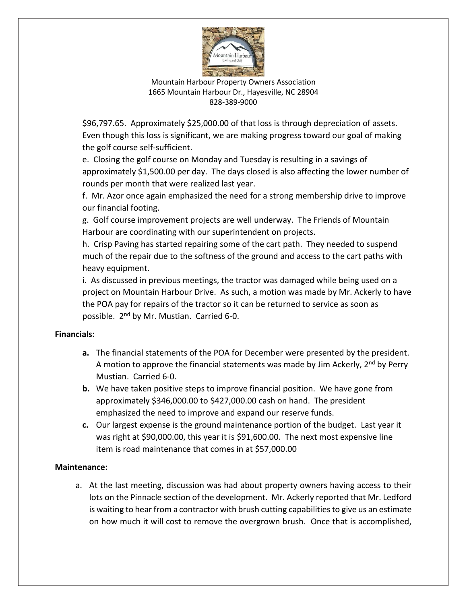

Mountain Harbour Property Owners Association 1665 Mountain Harbour Dr., Hayesville, NC 28904 828-389-9000

\$96,797.65. Approximately \$25,000.00 of that loss is through depreciation of assets. Even though this loss is significant, we are making progress toward our goal of making the golf course self-sufficient.

e. Closing the golf course on Monday and Tuesday is resulting in a savings of approximately \$1,500.00 per day. The days closed is also affecting the lower number of rounds per month that were realized last year.

f. Mr. Azor once again emphasized the need for a strong membership drive to improve our financial footing.

g. Golf course improvement projects are well underway. The Friends of Mountain Harbour are coordinating with our superintendent on projects.

h. Crisp Paving has started repairing some of the cart path. They needed to suspend much of the repair due to the softness of the ground and access to the cart paths with heavy equipment.

i. As discussed in previous meetings, the tractor was damaged while being used on a project on Mountain Harbour Drive. As such, a motion was made by Mr. Ackerly to have the POA pay for repairs of the tractor so it can be returned to service as soon as possible. 2<sup>nd</sup> by Mr. Mustian. Carried 6-0.

# **Financials:**

- **a.** The financial statements of the POA for December were presented by the president. A motion to approve the financial statements was made by Jim Ackerly, 2<sup>nd</sup> by Perry Mustian. Carried 6-0.
- **b.** We have taken positive steps to improve financial position. We have gone from approximately \$346,000.00 to \$427,000.00 cash on hand. The president emphasized the need to improve and expand our reserve funds.
- **c.** Our largest expense is the ground maintenance portion of the budget. Last year it was right at \$90,000.00, this year it is \$91,600.00. The next most expensive line item is road maintenance that comes in at \$57,000.00

## **Maintenance:**

a. At the last meeting, discussion was had about property owners having access to their lots on the Pinnacle section of the development. Mr. Ackerly reported that Mr. Ledford is waiting to hear from a contractor with brush cutting capabilities to give us an estimate on how much it will cost to remove the overgrown brush. Once that is accomplished,